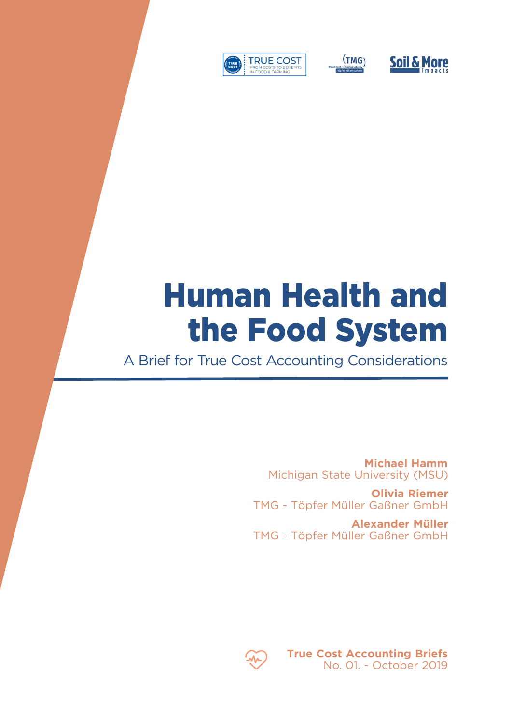





## Human Health and the Food System

A Brief for True Cost Accounting Considerations

**Michael Hamm** Michigan State University (MSU)

**Olivia Riemer** TMG - Töpfer Müller Gaßner GmbH

**Alexander Müller**  TMG - Töpfer Müller Gaßner GmbH



**True Cost Accounting Briefs** No. 01. - October 2019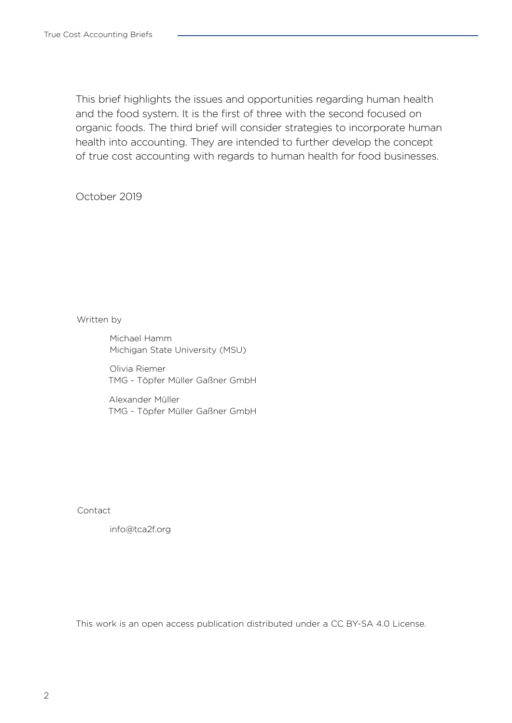This brief highlights the issues and opportunities regarding human health and the food system. It is the first of three with the second focused on organic foods. The third brief will consider strategies to incorporate human health into accounting. They are intended to further develop the concept of true cost accounting with regards to human health for food businesses.

October 2019

Written by

Michael Hamm Michigan State University (MSU)

Olivia Riemer TMG - Töpfer Müller Gaßner GmbH

Alexander Müller TMG - Töpfer Müller Gaßner GmbH

Contact

info@tca2f.org

This work is an open access publication distributed under a CC BY-SA 4.0 License.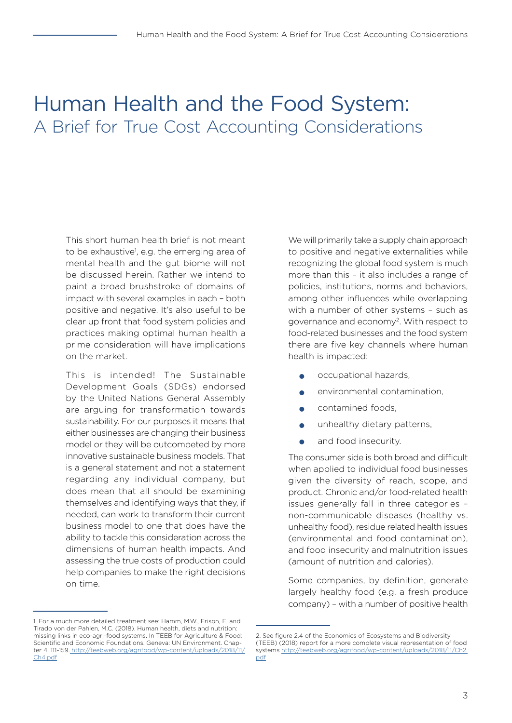## Human Health and the Food System: A Brief for True Cost Accounting Considerations

This short human health brief is not meant to be exhaustive<sup>1</sup>, e.g. the emerging area of mental health and the gut biome will not be discussed herein. Rather we intend to paint a broad brushstroke of domains of impact with several examples in each – both positive and negative. It's also useful to be clear up front that food system policies and practices making optimal human health a prime consideration will have implications on the market.

This is intended! The Sustainable Development Goals (SDGs) endorsed by the United Nations General Assembly are arguing for transformation towards sustainability. For our purposes it means that either businesses are changing their business model or they will be outcompeted by more innovative sustainable business models. That is a general statement and not a statement regarding any individual company, but does mean that all should be examining themselves and identifying ways that they, if needed, can work to transform their current business model to one that does have the ability to tackle this consideration across the dimensions of human health impacts. And assessing the true costs of production could help companies to make the right decisions on time.

We will primarily take a supply chain approach to positive and negative externalities while recognizing the global food system is much more than this – it also includes a range of policies, institutions, norms and behaviors, among other influences while overlapping with a number of other systems – such as governance and economy2. With respect to food-related businesses and the food system there are five key channels where human health is impacted:

- occupational hazards,
- environmental contamination,
- contamined foods,
- unhealthy dietary patterns,
- and food insecurity.

The consumer side is both broad and difficult when applied to individual food businesses given the diversity of reach, scope, and product. Chronic and/or food-related health issues generally fall in three categories – non-communicable diseases (healthy vs. unhealthy food), residue related health issues (environmental and food contamination), and food insecurity and malnutrition issues (amount of nutrition and calories).

Some companies, by definition, generate largely healthy food (e.g. a fresh produce company) – with a number of positive health

<sup>1.</sup> For a much more detailed treatment see: Hamm, M.W., Frison, E. and Tirado von der Pahlen, M.C. (2018). Human health, diets and nutrition: missing links in eco-agri-food systems. In TEEB for Agriculture & Food: Scientific and Economic Foundations. Geneva: UN Environment. Chapter 4, 111-159[. http://teebweb.org/agrifood/wp-content/uploads/2018/11/]( http://teebweb.org/agrifood/wp-content/uploads/2018/11/Ch4.pdf) [Ch4.pdf]( http://teebweb.org/agrifood/wp-content/uploads/2018/11/Ch4.pdf)

<sup>2.</sup> See figure 2.4 of the Economics of Ecosystems and Biodiversity (TEEB) (2018) report for a more complete visual representation of food systems [http://teebweb.org/agrifood/wp-content/uploads/2018/11/Ch2.](http://teebweb.org/agrifood/wp-content/uploads/2018/11/Ch2.pdf) [pdf](http://teebweb.org/agrifood/wp-content/uploads/2018/11/Ch2.pdf)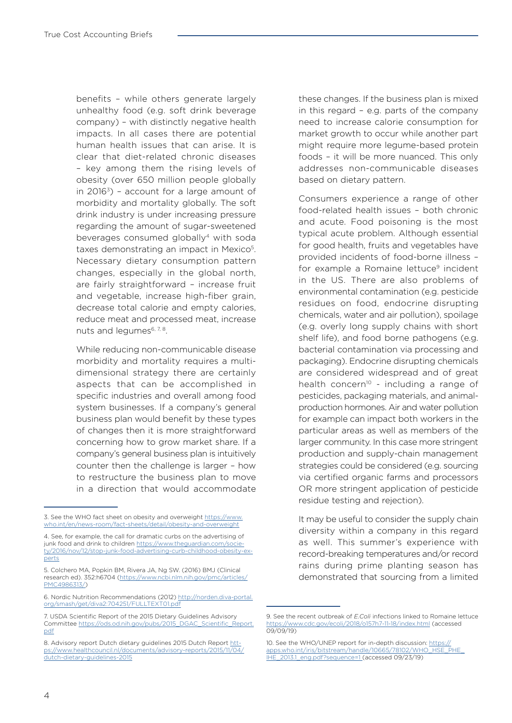benefits – while others generate largely unhealthy food (e.g. soft drink beverage company) – with distinctly negative health impacts. In all cases there are potential human health issues that can arise. It is clear that diet-related chronic diseases – key among them the rising levels of obesity (over 650 million people globally in  $2016<sup>3</sup>$ ) - account for a large amount of morbidity and mortality globally. The soft drink industry is under increasing pressure regarding the amount of sugar-sweetened beverages consumed globally4 with soda taxes demonstrating an impact in Mexico<sup>5</sup>. Necessary dietary consumption pattern changes, especially in the global north, are fairly straightforward – increase fruit and vegetable, increase high-fiber grain, decrease total calorie and empty calories, reduce meat and processed meat, increase nuts and legumes<sup>6, 7, 8</sup>.

While reducing non-communicable disease morbidity and mortality requires a multidimensional strategy there are certainly aspects that can be accomplished in specific industries and overall among food system businesses. If a company's general business plan would benefit by these types of changes then it is more straightforward concerning how to grow market share. If a company's general business plan is intuitively counter then the challenge is larger – how to restructure the business plan to move in a direction that would accommodate

these changes. If the business plan is mixed in this regard – e.g. parts of the company need to increase calorie consumption for market growth to occur while another part might require more legume-based protein foods – it will be more nuanced. This only addresses non-communicable diseases based on dietary pattern.

Consumers experience a range of other food-related health issues – both chronic and acute. Food poisoning is the most typical acute problem. Although essential for good health, fruits and vegetables have provided incidents of food-borne illness – for example a Romaine lettuce<sup>9</sup> incident in the US. There are also problems of environmental contamination (e.g. pesticide residues on food, endocrine disrupting chemicals, water and air pollution), spoilage (e.g. overly long supply chains with short shelf life), and food borne pathogens (e.g. bacterial contamination via processing and packaging). Endocrine disrupting chemicals are considered widespread and of great health concern<sup>10</sup> - including a range of pesticides, packaging materials, and animalproduction hormones. Air and water pollution for example can impact both workers in the particular areas as well as members of the larger community. In this case more stringent production and supply-chain management strategies could be considered (e.g. sourcing via certified organic farms and processors OR more stringent application of pesticide residue testing and rejection).

It may be useful to consider the supply chain diversity within a company in this regard as well. This summer's experience with record-breaking temperatures and/or record rains during prime planting season has demonstrated that sourcing from a limited

<sup>3.</sup> See the WHO fact sheet on obesity and overweight [https://www.](https://www.who.int/en/news-room/fact-sheets/detail/obesity-and-overweight) [who.int/en/news-room/fact-sheets/detail/obesity-and-overweight](https://www.who.int/en/news-room/fact-sheets/detail/obesity-and-overweight)

<sup>4.</sup> See, for example, the call for dramatic curbs on the advertising of junk food and drink to children https://www.theguardian.com/socie [ty/2016/nov/12/stop-junk-food-advertising-curb-childhood-obesity-ex](https://www.theguardian.com/society/2016/nov/12/stop-junk-food-advertising-curb-childhood-obesity-experts)[perts](https://www.theguardian.com/society/2016/nov/12/stop-junk-food-advertising-curb-childhood-obesity-experts)

<sup>5.</sup> Colchero MA, Popkin BM, Rivera JA, Ng SW. (2016) BMJ (Clinical research ed). 352:h6704 [\(https://www.ncbi.nlm.nih.gov/pmc/articles/](https://www.ncbi.nlm.nih.gov/pmc/articles/PMC4986313/) [PMC4986313/](https://www.ncbi.nlm.nih.gov/pmc/articles/PMC4986313/))

<sup>6.</sup> Nordic Nutrition Recommendations (2012) [http://norden.diva-portal.](http://norden.diva-portal.org/smash/get/diva2:704251/FULLTEXT01.pdf) [org/smash/get/diva2:704251/FULLTEXT01.pdf](http://norden.diva-portal.org/smash/get/diva2:704251/FULLTEXT01.pdf)

<sup>7.</sup> USDA Scientific Report of the 2015 Dietary Guidelines Advisory Committee [https://ods.od.nih.gov/pubs/2015\\_DGAC\\_Scientific\\_Report.](https://ods.od.nih.gov/pubs/2015_DGAC_Scientific_Report.pdf) [pdf](https://ods.od.nih.gov/pubs/2015_DGAC_Scientific_Report.pdf)

<sup>8.</sup> Advisory report Dutch dietary guidelines 2015 Dutch Report [htt](https://www.healthcouncil.nl/documents/advisory-reports/2015/11/04/dutch-dietary-guidelines-2015)[ps://www.healthcouncil.nl/documents/advisory-reports/2015/11/04/](https://www.healthcouncil.nl/documents/advisory-reports/2015/11/04/dutch-dietary-guidelines-2015) [dutch-dietary-guidelines-2015](https://www.healthcouncil.nl/documents/advisory-reports/2015/11/04/dutch-dietary-guidelines-2015)

<sup>9.</sup> See the recent outbreak of *E.Coli* infections linked to Romaine lettuce <https://www.cdc.gov/ecoli/2018/o157h7-11-18/index.html> (accessed 09/09/19)

<sup>10.</sup> See the WHO/UNEP report for in-depth discussion: [https://](https://apps.who.int/iris/bitstream/handle/10665/78102/WHO_HSE_PHE_IHE_2013.1_eng.pdf?sequence=1 )<br>anns who int/iris/bitstream/handle/10665/78102/WHO HSE PHE apps.who.int/iris/bitstream/handle/10665/78102/WHO [IHE\\_2013.1\\_eng.pdf?sequence=1](https://apps.who.int/iris/bitstream/handle/10665/78102/WHO_HSE_PHE_IHE_2013.1_eng.pdf?sequence=1 ) (accessed 09/23/19)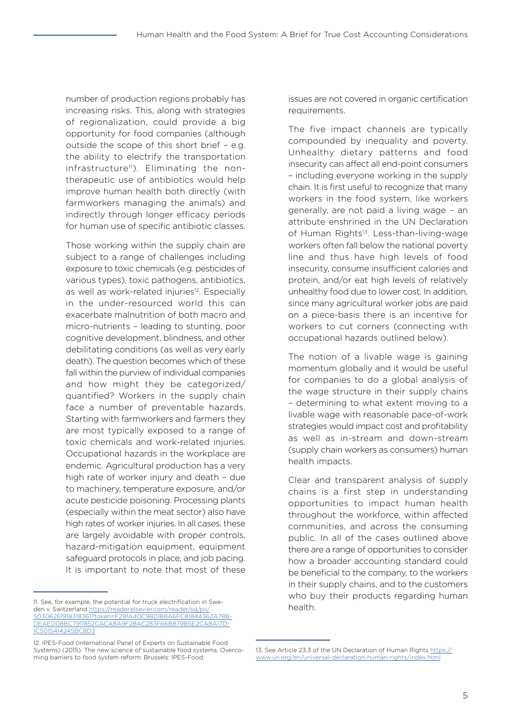number of production regions probably has increasing risks. This, along with strategies of regionalization, could provide a big opportunity for food companies (although outside the scope of this short brief – e.g. the ability to electrify the transportation infrastructure<sup>11</sup>). Eliminating the nontherapeutic use of antibiotics would help improve human health both directly (with farmworkers managing the animals) and indirectly through longer efficacy periods for human use of specific antibiotic classes.

Those working within the supply chain are subject to a range of challenges including exposure to toxic chemicals (e.g. pesticides of various types), toxic pathogens, antibiotics, as well as work-related injuries<sup>12</sup>. Especially in the under-resourced world this can exacerbate malnutrition of both macro and micro-nutrients – leading to stunting, poor cognitive development, blindness, and other debilitating conditions (as well as very early death). The question becomes which of these fall within the purview of individual companies and how might they be categorized/ quantified? Workers in the supply chain face a number of preventable hazards. Starting with farmworkers and farmers they are most typically exposed to a range of toxic chemicals and work-related injuries. Occupational hazards in the workplace are endemic. Agricultural production has a very high rate of worker injury and death – due to machinery, temperature exposure, and/or acute pesticide poisoning. Processing plants (especially within the meat sector) also have high rates of worker injuries. In all cases, these are largely avoidable with proper controls, hazard-mitigation equipment, equipment safeguard protocols in place, and job pacing. It is important to note that most of these

issues are not covered in organic certification requirements.

The five impact channels are typically compounded by inequality and poverty. Unhealthy dietary patterns and food insecurity can affect all end-point consumers – including everyone working in the supply chain. It is first useful to recognize that many workers in the food system, like workers generally, are not paid a living wage – an attribute enshrined in the UN Declaration of Human Rights<sup>13</sup>. Less-than-living-wage workers often fall below the national poverty line and thus have high levels of food insecurity, consume insufficient calories and protein, and/or eat high levels of relatively unhealthy food due to lower cost. In addition, since many agricultural worker jobs are paid on a piece-basis there is an incentive for workers to cut corners (connecting with occupational hazards outlined below).

The notion of a livable wage is gaining momentum globally and it would be useful for companies to do a global analysis of the wage structure in their supply chains – determining to what extent moving to a livable wage with reasonable pace-of-work strategies would impact cost and profitability as well as in-stream and down-stream (supply chain workers as consumers) human health impacts.

Clear and transparent analysis of supply chains is a first step in understanding opportunities to impact human health throughout the workforce, within affected communities, and across the consuming public. In all of the cases outlined above there are a range of opportunities to consider how a broader accounting standard could be beneficial to the company, to the workers in their supply chains, and to the customers who buy their products regarding human health.

<sup>11.</sup> See, for example, the potential for truck electrification in Sweden v. Switzerland [https://reader.elsevier.com/reader/sd/pii/](https://reader.elsevier.com/reader/sd/pii/S0306261918318361?token=F291A40C9801B8A6FC81844362A78BDEAED08BC7911852CACA8A9F28AC283F66B879B5E2CA8A17D1C5015414245BC8D3) [S0306261918318361?token=F291A40C9801B8A6FC81844362A78B-](https://reader.elsevier.com/reader/sd/pii/S0306261918318361?token=F291A40C9801B8A6FC81844362A78BDEAED08BC7911852CACA8A9F28AC283F66B879B5E2CA8A17D1C5015414245BC8D3)[DEAED08BC7911852CACA8A9F28AC283F66B879B5E2CA8A17D-](https://reader.elsevier.com/reader/sd/pii/S0306261918318361?token=F291A40C9801B8A6FC81844362A78BDEAED08BC7911852CACA8A9F28AC283F66B879B5E2CA8A17D1C5015414245BC8D3)1C5015414245BC8D

<sup>12.</sup> IPES-Food (International Panel of Experts on Sustainable Food Systems) (2015). The new science of sustainable food systems. Overcoming barriers to food system reform: Brussels: IPES-Food.

<sup>13.</sup> See Article 23.3 of the UN Declaration of Human Rights [https://](https://www.un.org/en/universal-declaration-human-rights/index.html (see article 23.3)) [www.un.org/en/universal-declaration-human-rights/index.html](https://www.un.org/en/universal-declaration-human-rights/index.html (see article 23.3))